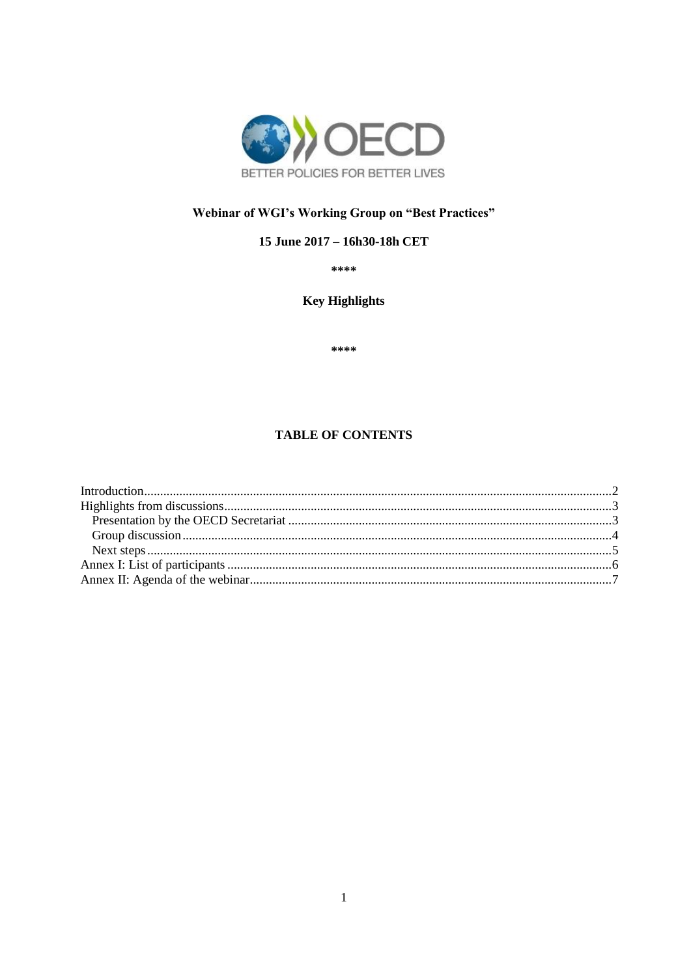

# Webinar of WGI's Working Group on "Best Practices"

## 15 June 2017 - 16h30-18h CET

\*\*\*\*

**Key Highlights** 

\*\*\*\*

### **TABLE OF CONTENTS**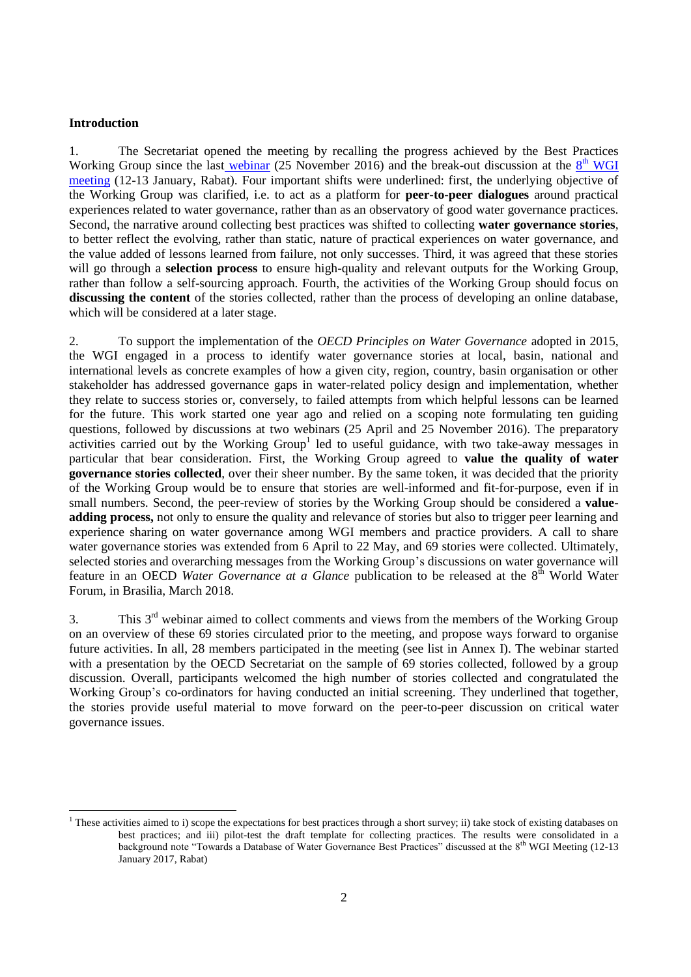#### <span id="page-1-0"></span>**Introduction**

1. The Secretariat opened the meeting by recalling the progress achieved by the Best Practices Working Group since the last [webinar](http://www.oecd.org/cfe/regional-policy/Summary-Webinar-BP-25Nov16.pdf) (25 November 2016) and the break-out discussion at the  $8<sup>th</sup>$  WGI [meeting](http://www.oecd.org/cfe/regional-policy/Highlights-8th-WGI.pdf) (12-13 January, Rabat). Four important shifts were underlined: first, the underlying objective of the Working Group was clarified, i.e. to act as a platform for **peer-to-peer dialogues** around practical experiences related to water governance, rather than as an observatory of good water governance practices. Second, the narrative around collecting best practices was shifted to collecting **water governance stories**, to better reflect the evolving, rather than static, nature of practical experiences on water governance, and the value added of lessons learned from failure, not only successes. Third, it was agreed that these stories will go through a **selection process** to ensure high-quality and relevant outputs for the Working Group, rather than follow a self-sourcing approach. Fourth, the activities of the Working Group should focus on **discussing the content** of the stories collected, rather than the process of developing an online database, which will be considered at a later stage.

2. To support the implementation of the *OECD Principles on Water Governance* adopted in 2015, the WGI engaged in a process to identify water governance stories at local, basin, national and international levels as concrete examples of how a given city, region, country, basin organisation or other stakeholder has addressed governance gaps in water-related policy design and implementation, whether they relate to success stories or, conversely, to failed attempts from which helpful lessons can be learned for the future. This work started one year ago and relied on a scoping note formulating ten guiding questions, followed by discussions at two webinars (25 April and 25 November 2016). The preparatory activities carried out by the Working Group<sup>1</sup> led to useful guidance, with two take-away messages in particular that bear consideration. First, the Working Group agreed to **value the quality of water governance stories collected**, over their sheer number. By the same token, it was decided that the priority of the Working Group would be to ensure that stories are well-informed and fit-for-purpose, even if in small numbers. Second, the peer-review of stories by the Working Group should be considered a **valueadding process,** not only to ensure the quality and relevance of stories but also to trigger peer learning and experience sharing on water governance among WGI members and practice providers. A call to share water governance stories was extended from 6 April to 22 May, and 69 stories were collected. Ultimately, selected stories and overarching messages from the Working Group's discussions on water governance will feature in an OECD *Water Governance at a Glance* publication to be released at the 8<sup>th</sup> World Water Forum, in Brasilia, March 2018.

3. This  $3<sup>rd</sup>$  webinar aimed to collect comments and views from the members of the Working Group on an overview of these 69 stories circulated prior to the meeting, and propose ways forward to organise future activities. In all, 28 members participated in the meeting (see list in Annex I). The webinar started with a presentation by the OECD Secretariat on the sample of 69 stories collected, followed by a group discussion. Overall, participants welcomed the high number of stories collected and congratulated the Working Group's co-ordinators for having conducted an initial screening. They underlined that together, the stories provide useful material to move forward on the peer-to-peer discussion on critical water governance issues.

<sup>&</sup>lt;sup>1</sup> These activities aimed to i) scope the expectations for best practices through a short survey; ii) take stock of existing databases on best practices; and iii) pilot-test the draft template for collecting practices. The results were consolidated in a background note "Towards a Database of Water Governance Best Practices" discussed at the 8th WGI Meeting (12-13 January 2017, Rabat)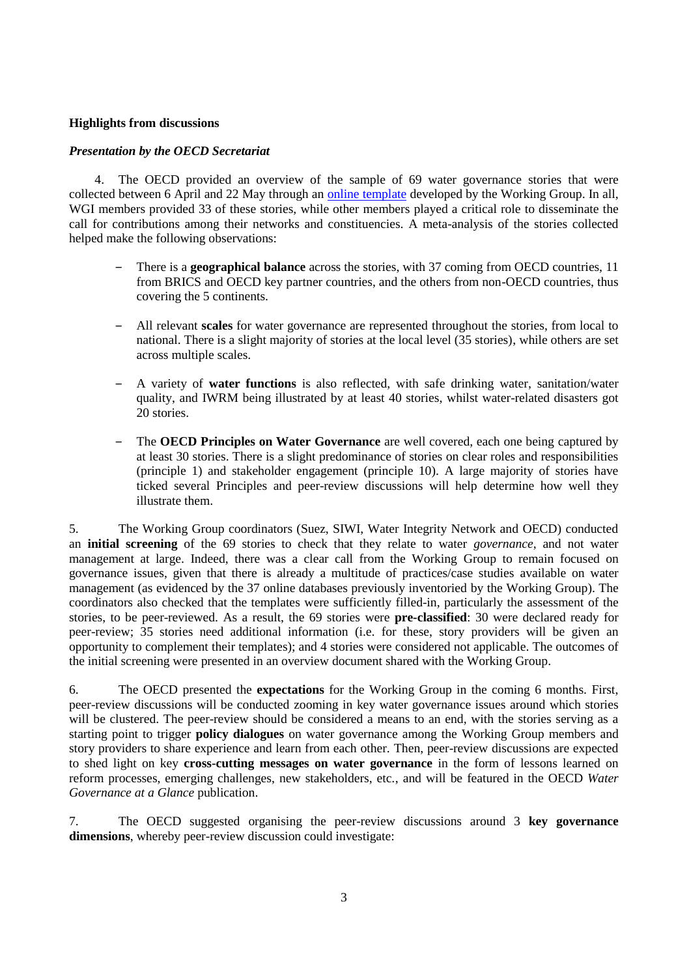#### <span id="page-2-0"></span>**Highlights from discussions**

#### <span id="page-2-1"></span>*Presentation by the OECD Secretariat*

The OECD provided an overview of the sample of 69 water governance stories that were collected between 6 April and 22 May through an [online template](http://www.oecd.org/cfe/regional-policy/What-is-Your-Water-Governance-Story-FORM.pdf) developed by the Working Group. In all, WGI members provided 33 of these stories, while other members played a critical role to disseminate the call for contributions among their networks and constituencies. A meta-analysis of the stories collected helped make the following observations:

- ‒ There is a **geographical balance** across the stories, with 37 coming from OECD countries, 11 from BRICS and OECD key partner countries, and the others from non-OECD countries, thus covering the 5 continents.
- ‒ All relevant **scales** for water governance are represented throughout the stories, from local to national. There is a slight majority of stories at the local level (35 stories), while others are set across multiple scales.
- ‒ A variety of **water functions** is also reflected, with safe drinking water, sanitation/water quality, and IWRM being illustrated by at least 40 stories, whilst water-related disasters got 20 stories.
- ‒ The **OECD Principles on Water Governance** are well covered, each one being captured by at least 30 stories. There is a slight predominance of stories on clear roles and responsibilities (principle 1) and stakeholder engagement (principle 10). A large majority of stories have ticked several Principles and peer-review discussions will help determine how well they illustrate them.

5. The Working Group coordinators (Suez, SIWI, Water Integrity Network and OECD) conducted an **initial screening** of the 69 stories to check that they relate to water *governance*, and not water management at large. Indeed, there was a clear call from the Working Group to remain focused on governance issues, given that there is already a multitude of practices/case studies available on water management (as evidenced by the 37 online databases previously inventoried by the Working Group). The coordinators also checked that the templates were sufficiently filled-in, particularly the assessment of the stories, to be peer-reviewed. As a result, the 69 stories were **pre-classified**: 30 were declared ready for peer-review; 35 stories need additional information (i.e. for these, story providers will be given an opportunity to complement their templates); and 4 stories were considered not applicable. The outcomes of the initial screening were presented in an overview document shared with the Working Group.

6. The OECD presented the **expectations** for the Working Group in the coming 6 months. First, peer-review discussions will be conducted zooming in key water governance issues around which stories will be clustered. The peer-review should be considered a means to an end, with the stories serving as a starting point to trigger **policy dialogues** on water governance among the Working Group members and story providers to share experience and learn from each other. Then, peer-review discussions are expected to shed light on key **cross-cutting messages on water governance** in the form of lessons learned on reform processes, emerging challenges, new stakeholders, etc., and will be featured in the OECD *Water Governance at a Glance* publication.

7. The OECD suggested organising the peer-review discussions around 3 **key governance dimensions**, whereby peer-review discussion could investigate: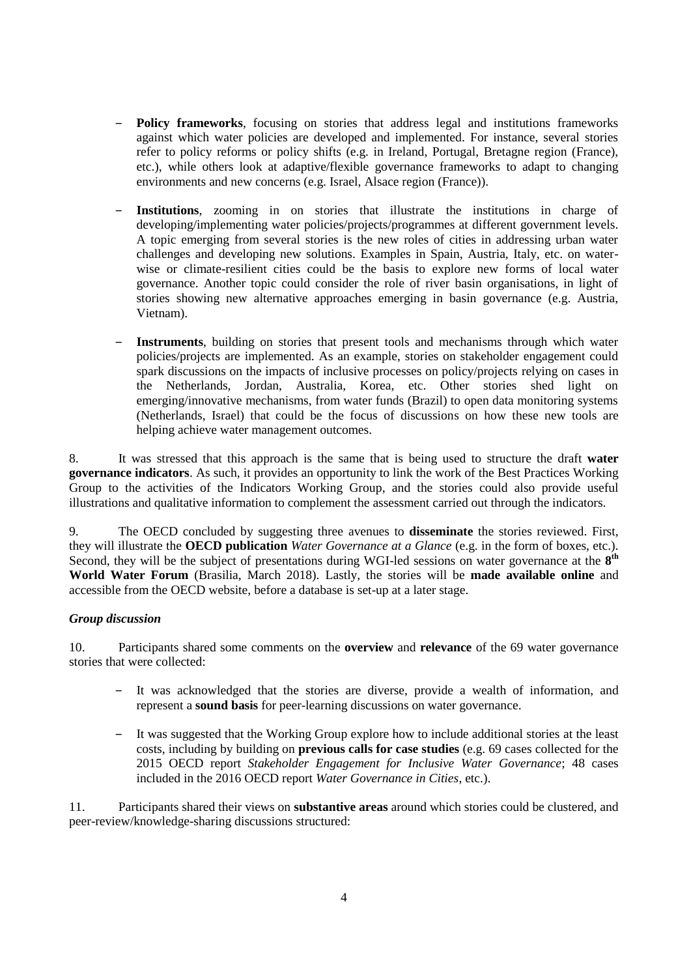- ‒ **Policy frameworks**, focusing on stories that address legal and institutions frameworks against which water policies are developed and implemented. For instance, several stories refer to policy reforms or policy shifts (e.g. in Ireland, Portugal, Bretagne region (France), etc.), while others look at adaptive/flexible governance frameworks to adapt to changing environments and new concerns (e.g. Israel, Alsace region (France)).
- ‒ **Institutions**, zooming in on stories that illustrate the institutions in charge of developing/implementing water policies/projects/programmes at different government levels. A topic emerging from several stories is the new roles of cities in addressing urban water challenges and developing new solutions. Examples in Spain, Austria, Italy, etc. on waterwise or climate-resilient cities could be the basis to explore new forms of local water governance. Another topic could consider the role of river basin organisations, in light of stories showing new alternative approaches emerging in basin governance (e.g. Austria, Vietnam).
- ‒ **Instruments**, building on stories that present tools and mechanisms through which water policies/projects are implemented. As an example, stories on stakeholder engagement could spark discussions on the impacts of inclusive processes on policy/projects relying on cases in the Netherlands, Jordan, Australia, Korea, etc. Other stories shed light on emerging/innovative mechanisms, from water funds (Brazil) to open data monitoring systems (Netherlands, Israel) that could be the focus of discussions on how these new tools are helping achieve water management outcomes.

8. It was stressed that this approach is the same that is being used to structure the draft **water governance indicators**. As such, it provides an opportunity to link the work of the Best Practices Working Group to the activities of the Indicators Working Group, and the stories could also provide useful illustrations and qualitative information to complement the assessment carried out through the indicators.

9. The OECD concluded by suggesting three avenues to **disseminate** the stories reviewed. First, they will illustrate the **OECD publication** *Water Governance at a Glance* (e.g. in the form of boxes, etc.). Second, they will be the subject of presentations during WGI-led sessions on water governance at the 8<sup>th</sup> **World Water Forum** (Brasilia, March 2018). Lastly, the stories will be **made available online** and accessible from the OECD website, before a database is set-up at a later stage.

#### <span id="page-3-0"></span>*Group discussion*

10. Participants shared some comments on the **overview** and **relevance** of the 69 water governance stories that were collected:

- ‒ It was acknowledged that the stories are diverse, provide a wealth of information, and represent a **sound basis** for peer-learning discussions on water governance.
- ‒ It was suggested that the Working Group explore how to include additional stories at the least costs, including by building on **previous calls for case studies** (e.g. 69 cases collected for the 2015 OECD report *Stakeholder Engagement for Inclusive Water Governance*; 48 cases included in the 2016 OECD report *Water Governance in Cities*, etc.).

11. Participants shared their views on **substantive areas** around which stories could be clustered, and peer-review/knowledge-sharing discussions structured: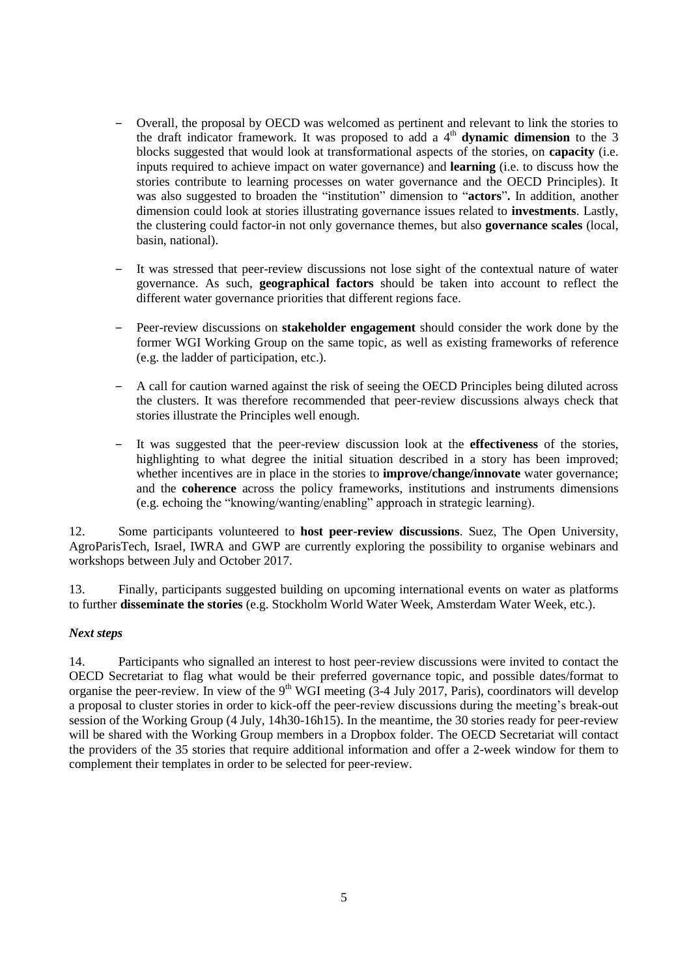- ‒ Overall, the proposal by OECD was welcomed as pertinent and relevant to link the stories to the draft indicator framework. It was proposed to add a  $4<sup>th</sup>$  **dynamic dimension** to the 3 blocks suggested that would look at transformational aspects of the stories, on **capacity** (i.e. inputs required to achieve impact on water governance) and **learning** (i.e. to discuss how the stories contribute to learning processes on water governance and the OECD Principles). It was also suggested to broaden the "institution" dimension to "**actors**"**.** In addition, another dimension could look at stories illustrating governance issues related to **investments**. Lastly, the clustering could factor-in not only governance themes, but also **governance scales** (local, basin, national).
- ‒ It was stressed that peer-review discussions not lose sight of the contextual nature of water governance. As such, **geographical factors** should be taken into account to reflect the different water governance priorities that different regions face.
- ‒ Peer-review discussions on **stakeholder engagement** should consider the work done by the former WGI Working Group on the same topic, as well as existing frameworks of reference (e.g. the ladder of participation, etc.).
- ‒ A call for caution warned against the risk of seeing the OECD Principles being diluted across the clusters. It was therefore recommended that peer-review discussions always check that stories illustrate the Principles well enough.
- ‒ It was suggested that the peer-review discussion look at the **effectiveness** of the stories, highlighting to what degree the initial situation described in a story has been improved; whether incentives are in place in the stories to **improve/change/innovate** water governance; and the **coherence** across the policy frameworks, institutions and instruments dimensions (e.g. echoing the "knowing/wanting/enabling" approach in strategic learning).

12. Some participants volunteered to **host peer-review discussions**. Suez, The Open University, AgroParisTech, Israel, IWRA and GWP are currently exploring the possibility to organise webinars and workshops between July and October 2017.

13. Finally, participants suggested building on upcoming international events on water as platforms to further **disseminate the stories** (e.g. Stockholm World Water Week, Amsterdam Water Week, etc.).

#### <span id="page-4-0"></span>*Next steps*

14. Participants who signalled an interest to host peer-review discussions were invited to contact the OECD Secretariat to flag what would be their preferred governance topic, and possible dates/format to organise the peer-review. In view of the 9<sup>th</sup> WGI meeting  $(3-4$  July 2017, Paris), coordinators will develop a proposal to cluster stories in order to kick-off the peer-review discussions during the meeting's break-out session of the Working Group (4 July, 14h30-16h15). In the meantime, the 30 stories ready for peer-review will be shared with the Working Group members in a Dropbox folder. The OECD Secretariat will contact the providers of the 35 stories that require additional information and offer a 2-week window for them to complement their templates in order to be selected for peer-review.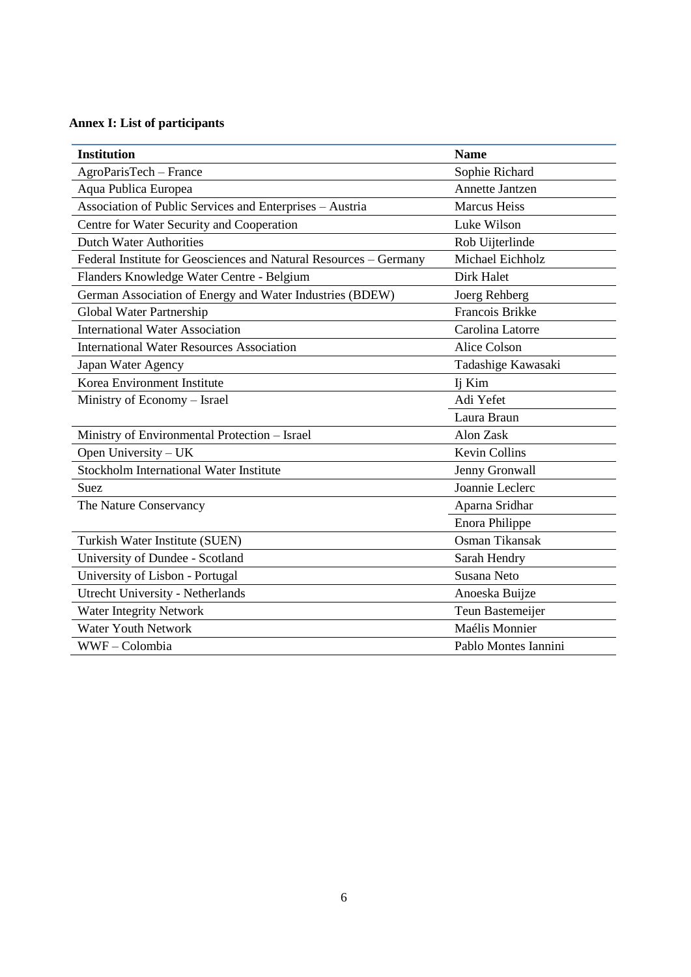## <span id="page-5-0"></span>**Annex I: List of participants**

| <b>Institution</b>                                                | <b>Name</b>           |
|-------------------------------------------------------------------|-----------------------|
| AgroParisTech - France                                            | Sophie Richard        |
| Aqua Publica Europea                                              | Annette Jantzen       |
| Association of Public Services and Enterprises - Austria          | <b>Marcus Heiss</b>   |
| Centre for Water Security and Cooperation                         | Luke Wilson           |
| <b>Dutch Water Authorities</b>                                    | Rob Uijterlinde       |
| Federal Institute for Geosciences and Natural Resources – Germany | Michael Eichholz      |
| Flanders Knowledge Water Centre - Belgium                         | Dirk Halet            |
| German Association of Energy and Water Industries (BDEW)          | Joerg Rehberg         |
| Global Water Partnership                                          | Francois Brikke       |
| <b>International Water Association</b>                            | Carolina Latorre      |
| <b>International Water Resources Association</b>                  | <b>Alice Colson</b>   |
| Japan Water Agency                                                | Tadashige Kawasaki    |
| Korea Environment Institute                                       | Ij Kim                |
| Ministry of Economy - Israel                                      | Adi Yefet             |
|                                                                   | Laura Braun           |
| Ministry of Environmental Protection - Israel                     | Alon Zask             |
| Open University - UK                                              | <b>Kevin Collins</b>  |
| Stockholm International Water Institute                           | Jenny Gronwall        |
| <b>Suez</b>                                                       | Joannie Leclerc       |
| The Nature Conservancy                                            | Aparna Sridhar        |
|                                                                   | <b>Enora Philippe</b> |
| Turkish Water Institute (SUEN)                                    | Osman Tikansak        |
| University of Dundee - Scotland                                   | Sarah Hendry          |
| University of Lisbon - Portugal                                   | Susana Neto           |
| <b>Utrecht University - Netherlands</b>                           | Anoeska Buijze        |
| Water Integrity Network                                           | Teun Bastemeijer      |
| <b>Water Youth Network</b>                                        | Maélis Monnier        |
| WWF-Colombia                                                      | Pablo Montes Iannini  |